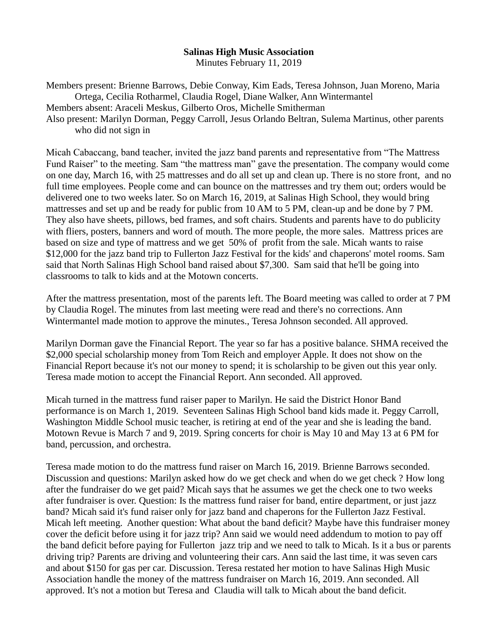## **Salinas High Music Association**

Minutes February 11, 2019

Members present: Brienne Barrows, Debie Conway, Kim Eads, Teresa Johnson, Juan Moreno, Maria Ortega, Cecilia Rotharmel, Claudia Rogel, Diane Walker, Ann Wintermantel Members absent: Araceli Meskus, Gilberto Oros, Michelle Smitherman Also present: Marilyn Dorman, Peggy Carroll, Jesus Orlando Beltran, Sulema Martinus, other parents who did not sign in

Micah Cabaccang, band teacher, invited the jazz band parents and representative from "The Mattress Fund Raiser" to the meeting. Sam "the mattress man" gave the presentation. The company would come on one day, March 16, with 25 mattresses and do all set up and clean up. There is no store front, and no full time employees. People come and can bounce on the mattresses and try them out; orders would be delivered one to two weeks later. So on March 16, 2019, at Salinas High School, they would bring mattresses and set up and be ready for public from 10 AM to 5 PM, clean-up and be done by 7 PM. They also have sheets, pillows, bed frames, and soft chairs. Students and parents have to do publicity with fliers, posters, banners and word of mouth. The more people, the more sales. Mattress prices are based on size and type of mattress and we get 50% of profit from the sale. Micah wants to raise \$12,000 for the jazz band trip to Fullerton Jazz Festival for the kids' and chaperons' motel rooms. Sam said that North Salinas High School band raised about \$7,300. Sam said that he'll be going into classrooms to talk to kids and at the Motown concerts.

After the mattress presentation, most of the parents left. The Board meeting was called to order at 7 PM by Claudia Rogel. The minutes from last meeting were read and there's no corrections. Ann Wintermantel made motion to approve the minutes., Teresa Johnson seconded. All approved.

Marilyn Dorman gave the Financial Report. The year so far has a positive balance. SHMA received the \$2,000 special scholarship money from Tom Reich and employer Apple. It does not show on the Financial Report because it's not our money to spend; it is scholarship to be given out this year only. Teresa made motion to accept the Financial Report. Ann seconded. All approved.

Micah turned in the mattress fund raiser paper to Marilyn. He said the District Honor Band performance is on March 1, 2019. Seventeen Salinas High School band kids made it. Peggy Carroll, Washington Middle School music teacher, is retiring at end of the year and she is leading the band. Motown Revue is March 7 and 9, 2019. Spring concerts for choir is May 10 and May 13 at 6 PM for band, percussion, and orchestra.

Teresa made motion to do the mattress fund raiser on March 16, 2019. Brienne Barrows seconded. Discussion and questions: Marilyn asked how do we get check and when do we get check ? How long after the fundraiser do we get paid? Micah says that he assumes we get the check one to two weeks after fundraiser is over. Question: Is the mattress fund raiser for band, entire department, or just jazz band? Micah said it's fund raiser only for jazz band and chaperons for the Fullerton Jazz Festival. Micah left meeting. Another question: What about the band deficit? Maybe have this fundraiser money cover the deficit before using it for jazz trip? Ann said we would need addendum to motion to pay off the band deficit before paying for Fullerton jazz trip and we need to talk to Micah. Is it a bus or parents driving trip? Parents are driving and volunteering their cars. Ann said the last time, it was seven cars and about \$150 for gas per car. Discussion. Teresa restated her motion to have Salinas High Music Association handle the money of the mattress fundraiser on March 16, 2019. Ann seconded. All approved. It's not a motion but Teresa and Claudia will talk to Micah about the band deficit.